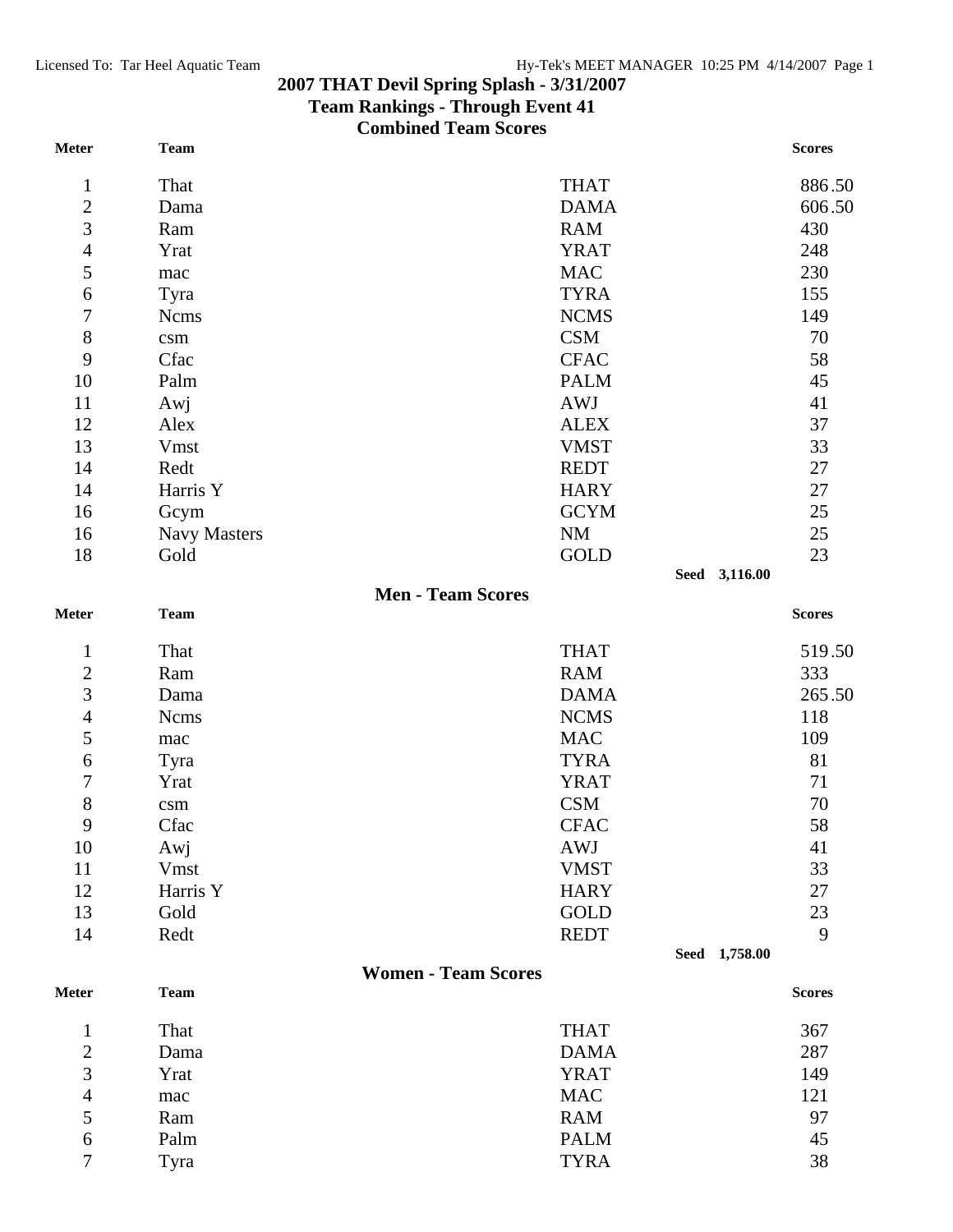## **2007 THAT Devil Spring Splash - 3/31/2007**

## **Team Rankings - Through Event 41**

**Combined Team Scores** 

| <b>Meter</b>   | <b>Team</b>         |                            |               | <b>Scores</b> |
|----------------|---------------------|----------------------------|---------------|---------------|
| $\mathbf{1}$   | That                | <b>THAT</b>                |               | 886.50        |
| $\overline{c}$ | Dama                | <b>DAMA</b>                |               | 606.50        |
| $\overline{3}$ | Ram                 | <b>RAM</b>                 |               | 430           |
| $\overline{4}$ | Yrat                | <b>YRAT</b>                |               | 248           |
| 5              | mac                 | <b>MAC</b>                 |               | 230           |
| 6              | Tyra                | <b>TYRA</b>                |               | 155           |
| 7              | <b>Ncms</b>         | <b>NCMS</b>                |               | 149           |
| $8\,$          | c <sub>sm</sub>     | <b>CSM</b>                 |               | 70            |
| 9              | Cfac                | <b>CFAC</b>                |               | 58            |
| 10             | Palm                | <b>PALM</b>                |               | 45            |
| 11             | Awj                 | <b>AWJ</b>                 |               | 41            |
| 12             | Alex                | <b>ALEX</b>                |               | 37            |
| 13             | Vmst                | <b>VMST</b>                |               | 33            |
| 14             | Redt                | <b>REDT</b>                |               | 27            |
| 14             | Harris Y            | <b>HARY</b>                |               | 27            |
| 16             | Gcym                | <b>GCYM</b>                |               | 25            |
| 16             | <b>Navy Masters</b> | <b>NM</b>                  |               | 25            |
| 18             | Gold                | <b>GOLD</b>                |               | 23            |
|                |                     |                            | Seed 3,116.00 |               |
|                |                     | <b>Men - Team Scores</b>   |               |               |
| <b>Meter</b>   | <b>Team</b>         |                            |               | <b>Scores</b> |
| $\mathbf{1}$   | That                | <b>THAT</b>                |               | 519.50        |
| $\overline{2}$ | Ram                 | <b>RAM</b>                 |               | 333           |
| 3              | Dama                | <b>DAMA</b>                |               | 265.50        |
| $\overline{4}$ | <b>Ncms</b>         | <b>NCMS</b>                |               | 118           |
| 5              | mac                 | <b>MAC</b>                 |               | 109           |
| 6              | Tyra                | <b>TYRA</b>                |               | 81            |
| 7              | Yrat                | <b>YRAT</b>                |               | 71            |
| $8\,$          | $\mathrm{csm}$      | <b>CSM</b>                 |               | 70            |
| 9              | Cfac                | <b>CFAC</b>                |               | 58            |
| 10             | Awj                 | <b>AWJ</b>                 |               | 41            |
| 11             | <b>Vmst</b>         | <b>VMST</b>                |               | 33            |
| 12             | Harris Y            | <b>HARY</b>                |               | 27            |
| 13             | Gold                | GOLD                       |               | 23            |
| 14             | Redt                | <b>REDT</b>                |               | 9             |
|                |                     |                            | Seed 1,758.00 |               |
| <b>Meter</b>   | <b>Team</b>         | <b>Women - Team Scores</b> |               | <b>Scores</b> |
|                |                     |                            |               |               |
| $\mathbf{1}$   | That                | <b>THAT</b>                |               | 367           |
| $\overline{c}$ | Dama                | <b>DAMA</b>                |               | 287           |
| 3              | Yrat                | <b>YRAT</b>                |               | 149           |
| $\overline{4}$ | mac                 | <b>MAC</b>                 |               | 121           |
| 5              | Ram                 | <b>RAM</b>                 |               | 97            |
| 6              | Palm                | <b>PALM</b>                |               | 45            |

Tyra TYRA 38